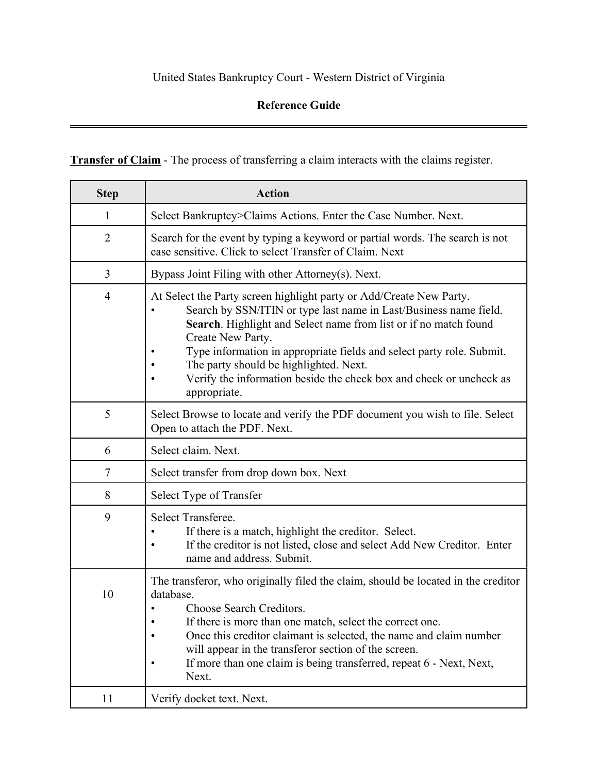## United States Bankruptcy Court - Western District of Virginia

## **Reference Guide**

**Transfer of Claim** - The process of transferring a claim interacts with the claims register.

| <b>Step</b>    | <b>Action</b>                                                                                                                                                                                                                                                                                                                                                                                                                               |
|----------------|---------------------------------------------------------------------------------------------------------------------------------------------------------------------------------------------------------------------------------------------------------------------------------------------------------------------------------------------------------------------------------------------------------------------------------------------|
| 1              | Select Bankruptcy>Claims Actions. Enter the Case Number. Next.                                                                                                                                                                                                                                                                                                                                                                              |
| $\overline{2}$ | Search for the event by typing a keyword or partial words. The search is not<br>case sensitive. Click to select Transfer of Claim. Next                                                                                                                                                                                                                                                                                                     |
| $\overline{3}$ | Bypass Joint Filing with other Attorney(s). Next.                                                                                                                                                                                                                                                                                                                                                                                           |
| $\overline{4}$ | At Select the Party screen highlight party or Add/Create New Party.<br>Search by SSN/ITIN or type last name in Last/Business name field.<br>Search. Highlight and Select name from list or if no match found<br>Create New Party.<br>Type information in appropriate fields and select party role. Submit.<br>The party should be highlighted. Next.<br>Verify the information beside the check box and check or uncheck as<br>appropriate. |
| 5              | Select Browse to locate and verify the PDF document you wish to file. Select<br>Open to attach the PDF. Next.                                                                                                                                                                                                                                                                                                                               |
| 6              | Select claim. Next.                                                                                                                                                                                                                                                                                                                                                                                                                         |
| 7              | Select transfer from drop down box. Next                                                                                                                                                                                                                                                                                                                                                                                                    |
| 8              | Select Type of Transfer                                                                                                                                                                                                                                                                                                                                                                                                                     |
| 9              | Select Transferee.<br>If there is a match, highlight the creditor. Select.<br>If the creditor is not listed, close and select Add New Creditor. Enter<br>name and address. Submit.                                                                                                                                                                                                                                                          |
| 10             | The transferor, who originally filed the claim, should be located in the creditor<br>database.<br>Choose Search Creditors.<br>If there is more than one match, select the correct one.<br>Once this creditor claimant is selected, the name and claim number<br>will appear in the transferor section of the screen.<br>If more than one claim is being transferred, repeat 6 - Next, Next,<br>Next.                                        |
| 11             | Verify docket text. Next.                                                                                                                                                                                                                                                                                                                                                                                                                   |